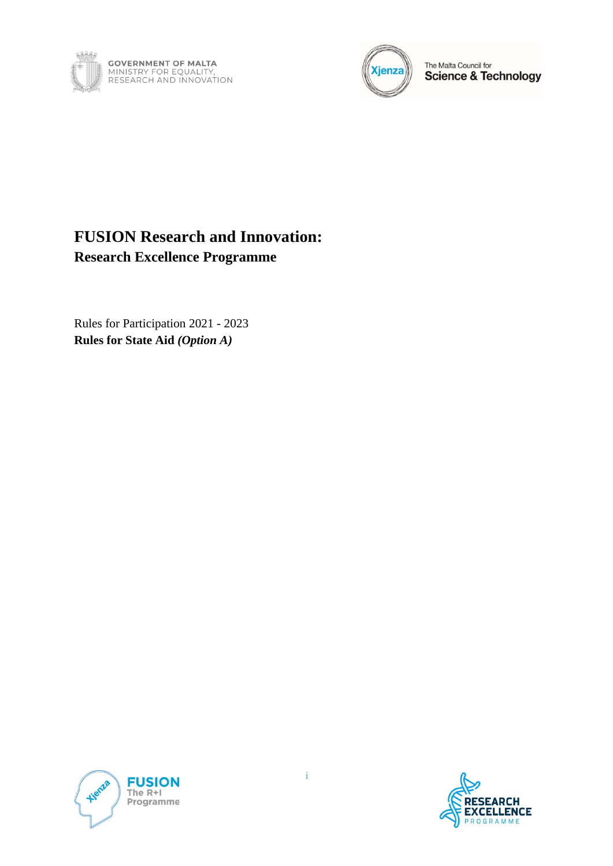



The Malta Council for<br>Science & Technology

# **FUSION Research and Innovation: Research Excellence Programme**

Rules for Participation 2021 - 2023 **Rules for State Aid** *(Option A)*



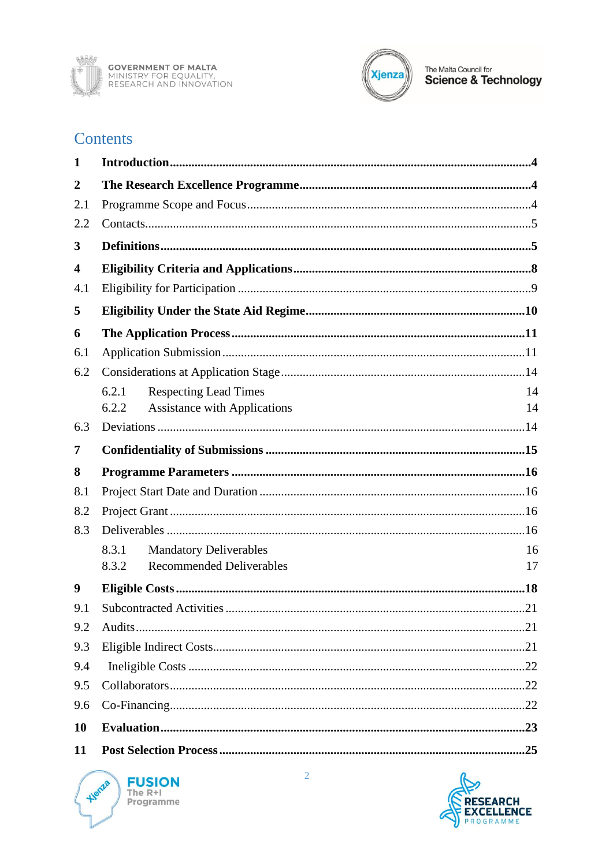



# **Contents**

| 1                       |                                              |    |  |  |
|-------------------------|----------------------------------------------|----|--|--|
| $\overline{2}$          |                                              |    |  |  |
| 2.1                     |                                              |    |  |  |
| 2.2                     |                                              |    |  |  |
| 3                       |                                              |    |  |  |
| $\overline{\mathbf{4}}$ |                                              |    |  |  |
| 4.1                     |                                              |    |  |  |
| 5                       |                                              |    |  |  |
| 6                       |                                              |    |  |  |
| 6.1                     |                                              |    |  |  |
| 6.2                     |                                              |    |  |  |
|                         | 6.2.1<br><b>Respecting Lead Times</b>        | 14 |  |  |
|                         | <b>Assistance with Applications</b><br>6.2.2 | 14 |  |  |
| 6.3                     |                                              |    |  |  |
| 7                       |                                              |    |  |  |
| 8                       |                                              |    |  |  |
| 8.1                     |                                              |    |  |  |
| 8.2                     |                                              |    |  |  |
| 8.3                     |                                              |    |  |  |
|                         | 8.3.1<br><b>Mandatory Deliverables</b>       | 16 |  |  |
|                         | <b>Recommended Deliverables</b><br>8.3.2     | 17 |  |  |
| 9                       |                                              |    |  |  |
|                         |                                              |    |  |  |
| 9.1                     |                                              |    |  |  |
| 9.2                     |                                              |    |  |  |
| 9.3                     |                                              |    |  |  |
| 9.4                     |                                              |    |  |  |
| 9.5                     |                                              |    |  |  |
| 9.6                     |                                              |    |  |  |
| 10                      |                                              |    |  |  |

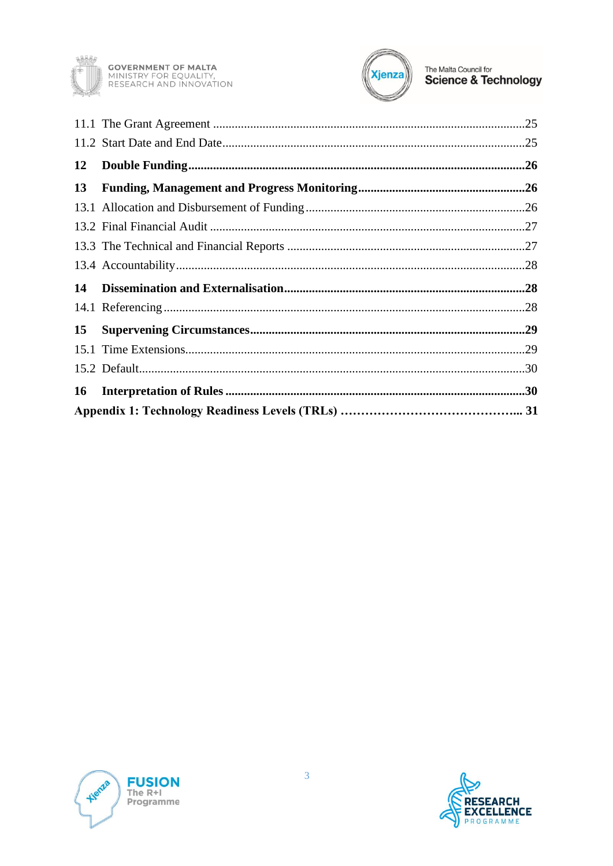



| 12 |  |  |  |
|----|--|--|--|
| 13 |  |  |  |
|    |  |  |  |
|    |  |  |  |
|    |  |  |  |
|    |  |  |  |
| 14 |  |  |  |
|    |  |  |  |
| 15 |  |  |  |
|    |  |  |  |
|    |  |  |  |
| 16 |  |  |  |
|    |  |  |  |



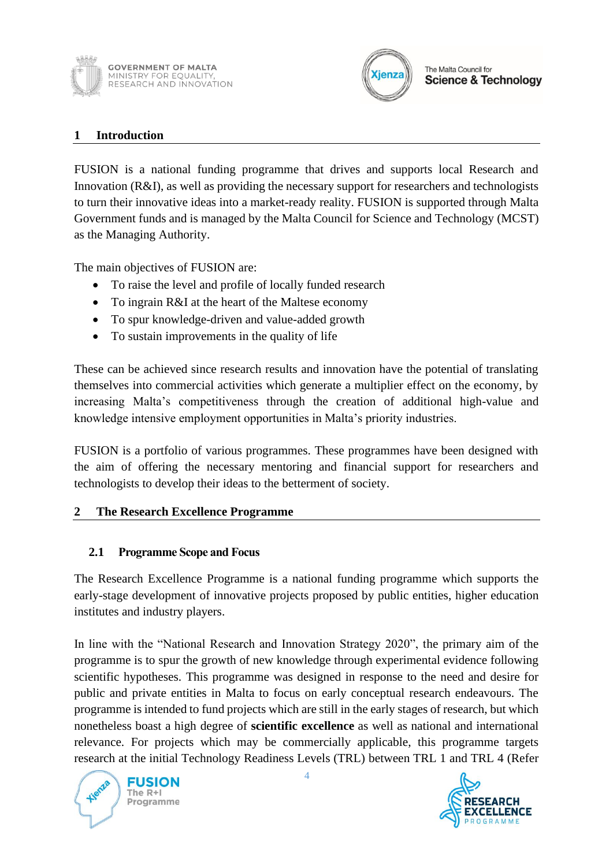



#### <span id="page-3-0"></span>**1 Introduction**

FUSION is a national funding programme that drives and supports local Research and Innovation (R&I), as well as providing the necessary support for researchers and technologists to turn their innovative ideas into a market-ready reality. FUSION is supported through Malta Government funds and is managed by the Malta Council for Science and Technology (MCST) as the Managing Authority.

The main objectives of FUSION are:

- To raise the level and profile of locally funded research
- To ingrain R&I at the heart of the Maltese economy
- To spur knowledge-driven and value-added growth
- To sustain improvements in the quality of life

These can be achieved since research results and innovation have the potential of translating themselves into commercial activities which generate a multiplier effect on the economy, by increasing Malta's competitiveness through the creation of additional high-value and knowledge intensive employment opportunities in Malta's priority industries.

FUSION is a portfolio of various programmes. These programmes have been designed with the aim of offering the necessary mentoring and financial support for researchers and technologists to develop their ideas to the betterment of society.

### <span id="page-3-1"></span>**2 The Research Excellence Programme**

#### <span id="page-3-2"></span>**2.1 Programme Scope and Focus**

The Research Excellence Programme is a national funding programme which supports the early-stage development of innovative projects proposed by public entities, higher education institutes and industry players.

In line with the "National Research and Innovation Strategy 2020", the primary aim of the programme is to spur the growth of new knowledge through experimental evidence following scientific hypotheses. This programme was designed in response to the need and desire for public and private entities in Malta to focus on early conceptual research endeavours. The programme is intended to fund projects which are still in the early stages of research, but which nonetheless boast a high degree of **scientific excellence** as well as national and international relevance. For projects which may be commercially applicable, this programme targets research at the initial Technology Readiness Levels (TRL) between TRL 1 and TRL 4 (Refer

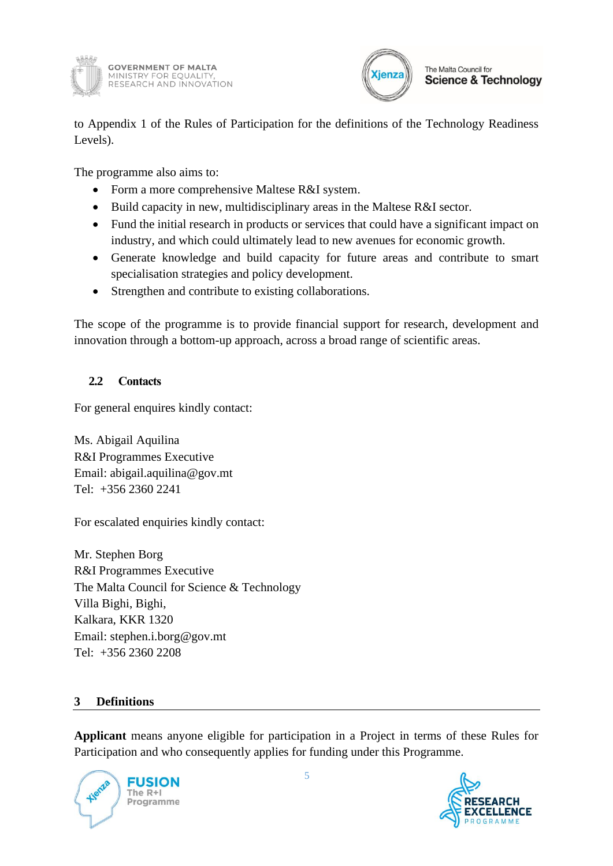



to Appendix 1 of the Rules of Participation for the definitions of the Technology Readiness Levels).

The programme also aims to:

- Form a more comprehensive Maltese R&I system.
- Build capacity in new, multidisciplinary areas in the Maltese R&I sector.
- Fund the initial research in products or services that could have a significant impact on industry, and which could ultimately lead to new avenues for economic growth.
- Generate knowledge and build capacity for future areas and contribute to smart specialisation strategies and policy development.
- Strengthen and contribute to existing collaborations.

The scope of the programme is to provide financial support for research, development and innovation through a bottom-up approach, across a broad range of scientific areas.

### <span id="page-4-0"></span>**2.2 Contacts**

For general enquires kindly contact:

Ms. Abigail Aquilina R&I Programmes Executive Email: abigail.aquilina@gov.mt Tel: +356 2360 2241

For escalated enquiries kindly contact:

Mr. Stephen Borg R&I Programmes Executive The Malta Council for Science & Technology Villa Bighi, Bighi, Kalkara, KKR 1320 Email: stephen.i.borg@gov.mt Tel: +356 2360 2208

### <span id="page-4-1"></span>**3 Definitions**

**Applicant** means anyone eligible for participation in a Project in terms of these Rules for Participation and who consequently applies for funding under this Programme.



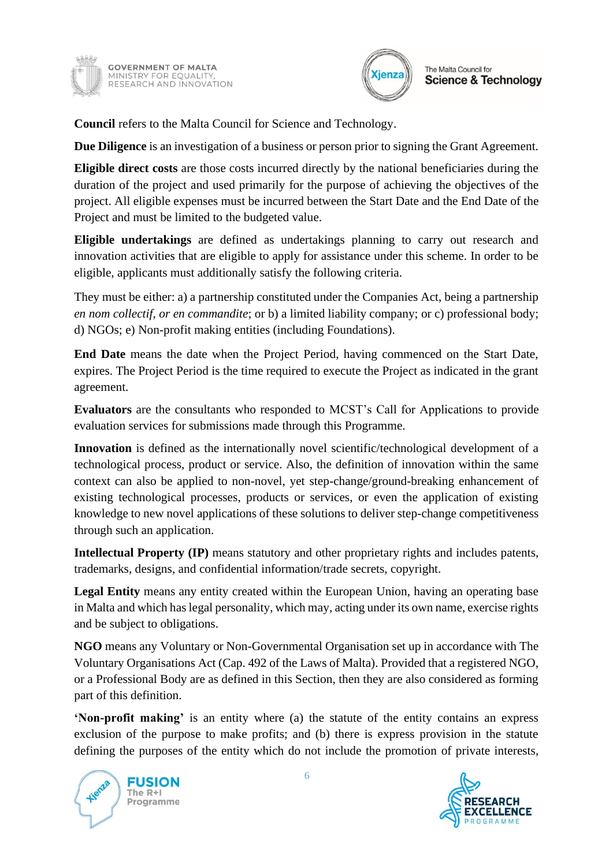



**Council** refers to the Malta Council for Science and Technology.

**Due Diligence** is an investigation of a business or person prior to signing the Grant Agreement.

**Eligible direct costs** are those costs incurred directly by the national beneficiaries during the duration of the project and used primarily for the purpose of achieving the objectives of the project. All eligible expenses must be incurred between the Start Date and the End Date of the Project and must be limited to the budgeted value.

**Eligible undertakings** are defined as undertakings planning to carry out research and innovation activities that are eligible to apply for assistance under this scheme. In order to be eligible, applicants must additionally satisfy the following criteria.

They must be either: a) a partnership constituted under the Companies Act, being a partnership *en nom collectif, or en commandite*; or b) a limited liability company; or c) professional body; d) NGOs; e) Non-profit making entities (including Foundations).

**End Date** means the date when the Project Period, having commenced on the Start Date, expires. The Project Period is the time required to execute the Project as indicated in the grant agreement.

**Evaluators** are the consultants who responded to MCST's Call for Applications to provide evaluation services for submissions made through this Programme.

**Innovation** is defined as the internationally novel scientific/technological development of a technological process, product or service. Also, the definition of innovation within the same context can also be applied to non-novel, yet step-change/ground-breaking enhancement of existing technological processes, products or services, or even the application of existing knowledge to new novel applications of these solutions to deliver step-change competitiveness through such an application.

**Intellectual Property (IP)** means statutory and other proprietary rights and includes patents, trademarks, designs, and confidential information/trade secrets, copyright.

**Legal Entity** means any entity created within the European Union, having an operating base in Malta and which has legal personality, which may, acting under its own name, exercise rights and be subject to obligations.

**NGO** means any Voluntary or Non-Governmental Organisation set up in accordance with The Voluntary Organisations Act (Cap. 492 of the Laws of Malta). Provided that a registered NGO, or a Professional Body are as defined in this Section, then they are also considered as forming part of this definition.

**'Non-profit making'** is an entity where (a) the statute of the entity contains an express exclusion of the purpose to make profits; and (b) there is express provision in the statute defining the purposes of the entity which do not include the promotion of private interests,



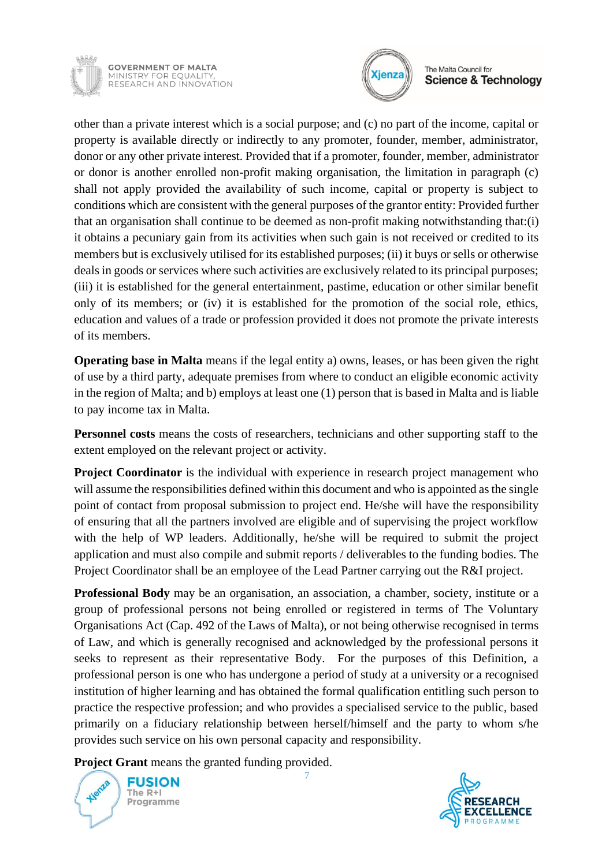

**GOVERNMENT OF MALTA** MINISTRY FOR EQUALITY,<br>RESEARCH AND INNOVATION



#### The Malta Council for **Science & Technology**

other than a private interest which is a social purpose; and (c) no part of the income, capital or property is available directly or indirectly to any promoter, founder, member, administrator, donor or any other private interest. Provided that if a promoter, founder, member, administrator or donor is another enrolled non-profit making organisation, the limitation in paragraph (c) shall not apply provided the availability of such income, capital or property is subject to conditions which are consistent with the general purposes of the grantor entity: Provided further that an organisation shall continue to be deemed as non-profit making notwithstanding that:(i) it obtains a pecuniary gain from its activities when such gain is not received or credited to its members but is exclusively utilised for its established purposes; (ii) it buys or sells or otherwise deals in goods or services where such activities are exclusively related to its principal purposes; (iii) it is established for the general entertainment, pastime, education or other similar benefit only of its members; or (iv) it is established for the promotion of the social role, ethics, education and values of a trade or profession provided it does not promote the private interests of its members.

**Operating base in Malta** means if the legal entity a) owns, leases, or has been given the right of use by a third party, adequate premises from where to conduct an eligible economic activity in the region of Malta; and b) employs at least one (1) person that is based in Malta and is liable to pay income tax in Malta.

**Personnel costs** means the costs of researchers, technicians and other supporting staff to the extent employed on the relevant project or activity.

**Project Coordinator** is the individual with experience in research project management who will assume the responsibilities defined within this document and who is appointed as the single point of contact from proposal submission to project end. He/she will have the responsibility of ensuring that all the partners involved are eligible and of supervising the project workflow with the help of WP leaders. Additionally, he/she will be required to submit the project application and must also compile and submit reports / deliverables to the funding bodies. The Project Coordinator shall be an employee of the Lead Partner carrying out the R&I project.

**Professional Body** may be an organisation, an association, a chamber, society, institute or a group of professional persons not being enrolled or registered in terms of The Voluntary Organisations Act (Cap. 492 of the Laws of Malta), or not being otherwise recognised in terms of Law, and which is generally recognised and acknowledged by the professional persons it seeks to represent as their representative Body. For the purposes of this Definition, a professional person is one who has undergone a period of study at a university or a recognised institution of higher learning and has obtained the formal qualification entitling such person to practice the respective profession; and who provides a specialised service to the public, based primarily on a fiduciary relationship between herself/himself and the party to whom s/he provides such service on his own personal capacity and responsibility.

7

**Project Grant** means the granted funding provided.



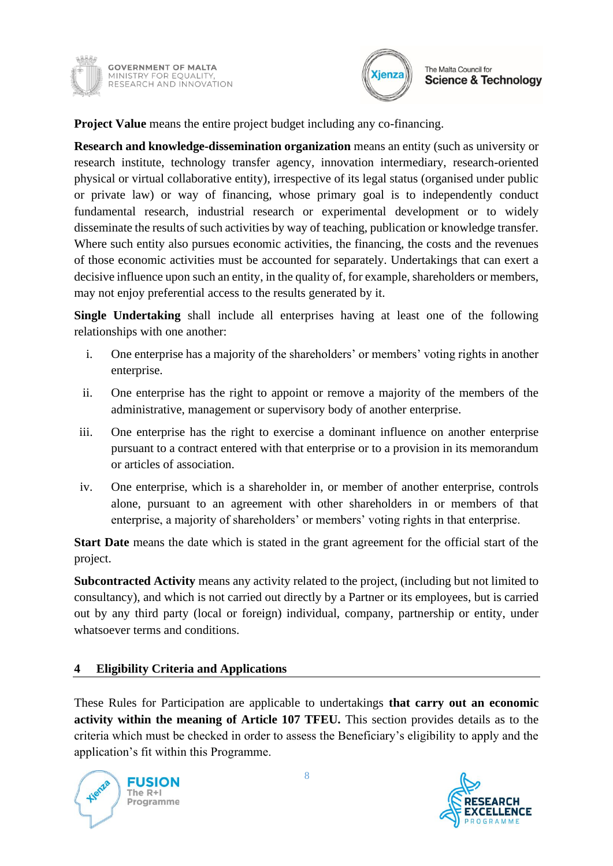



**Project Value** means the entire project budget including any co-financing.

**Research and knowledge-dissemination organization** means an entity (such as university or research institute, technology transfer agency, innovation intermediary, research-oriented physical or virtual collaborative entity), irrespective of its legal status (organised under public or private law) or way of financing, whose primary goal is to independently conduct fundamental research, industrial research or experimental development or to widely disseminate the results of such activities by way of teaching, publication or knowledge transfer. Where such entity also pursues economic activities, the financing, the costs and the revenues of those economic activities must be accounted for separately. Undertakings that can exert a decisive influence upon such an entity, in the quality of, for example, shareholders or members, may not enjoy preferential access to the results generated by it.

**Single Undertaking** shall include all enterprises having at least one of the following relationships with one another:

- i. One enterprise has a majority of the shareholders' or members' voting rights in another enterprise.
- ii. One enterprise has the right to appoint or remove a majority of the members of the administrative, management or supervisory body of another enterprise.
- iii. One enterprise has the right to exercise a dominant influence on another enterprise pursuant to a contract entered with that enterprise or to a provision in its memorandum or articles of association.
- iv. One enterprise, which is a shareholder in, or member of another enterprise, controls alone, pursuant to an agreement with other shareholders in or members of that enterprise, a majority of shareholders' or members' voting rights in that enterprise.

**Start Date** means the date which is stated in the grant agreement for the official start of the project.

**Subcontracted Activity** means any activity related to the project, (including but not limited to consultancy), and which is not carried out directly by a Partner or its employees, but is carried out by any third party (local or foreign) individual, company, partnership or entity, under whatsoever terms and conditions.

### <span id="page-7-0"></span>**4 Eligibility Criteria and Applications**

These Rules for Participation are applicable to undertakings **that carry out an economic activity within the meaning of Article 107 TFEU.** This section provides details as to the criteria which must be checked in order to assess the Beneficiary's eligibility to apply and the application's fit within this Programme.



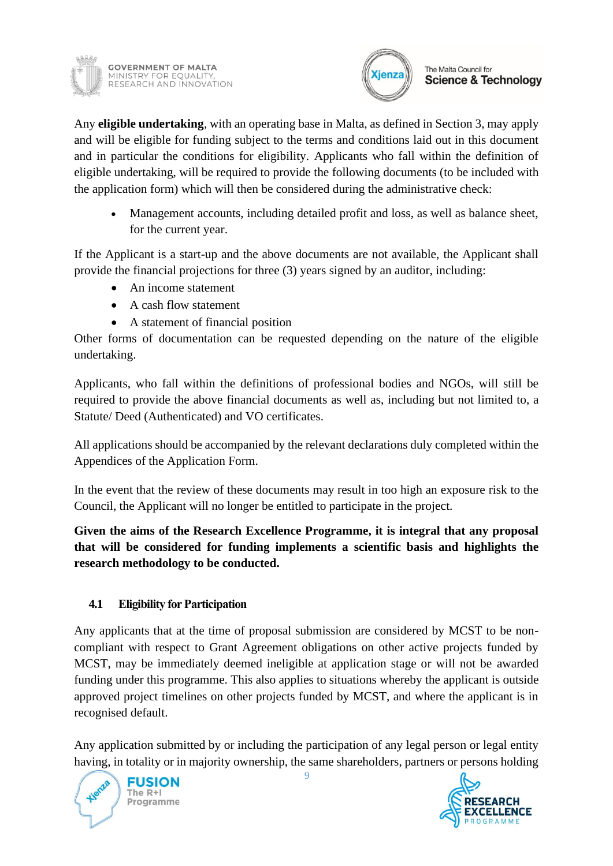



Any **eligible undertaking**, with an operating base in Malta, as defined in Section 3, may apply and will be eligible for funding subject to the terms and conditions laid out in this document and in particular the conditions for eligibility. Applicants who fall within the definition of eligible undertaking, will be required to provide the following documents (to be included with the application form) which will then be considered during the administrative check:

• Management accounts, including detailed profit and loss, as well as balance sheet, for the current year.

If the Applicant is a start-up and the above documents are not available, the Applicant shall provide the financial projections for three (3) years signed by an auditor, including:

- An income statement
- A cash flow statement
- A statement of financial position

Other forms of documentation can be requested depending on the nature of the eligible undertaking.

Applicants, who fall within the definitions of professional bodies and NGOs, will still be required to provide the above financial documents as well as, including but not limited to, a Statute/ Deed (Authenticated) and VO certificates.

All applications should be accompanied by the relevant declarations duly completed within the Appendices of the Application Form.

In the event that the review of these documents may result in too high an exposure risk to the Council, the Applicant will no longer be entitled to participate in the project.

**Given the aims of the Research Excellence Programme, it is integral that any proposal that will be considered for funding implements a scientific basis and highlights the research methodology to be conducted.**

## <span id="page-8-0"></span>**4.1 Eligibility for Participation**

Any applicants that at the time of proposal submission are considered by MCST to be noncompliant with respect to Grant Agreement obligations on other active projects funded by MCST, may be immediately deemed ineligible at application stage or will not be awarded funding under this programme. This also applies to situations whereby the applicant is outside approved project timelines on other projects funded by MCST, and where the applicant is in recognised default.

Any application submitted by or including the participation of any legal person or legal entity having, in totality or in majority ownership, the same shareholders, partners or persons holding



**RESEARCH CELLENCE** 

9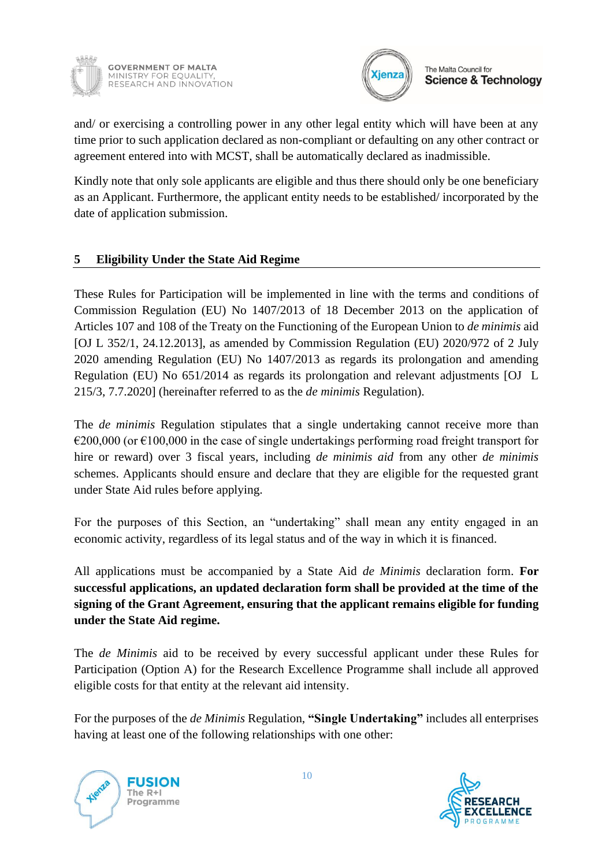



The Malta Council for **Science & Technology** 

and/ or exercising a controlling power in any other legal entity which will have been at any time prior to such application declared as non-compliant or defaulting on any other contract or agreement entered into with MCST, shall be automatically declared as inadmissible.

Kindly note that only sole applicants are eligible and thus there should only be one beneficiary as an Applicant. Furthermore, the applicant entity needs to be established/ incorporated by the date of application submission.

### <span id="page-9-0"></span>**5 Eligibility Under the State Aid Regime**

These Rules for Participation will be implemented in line with the terms and conditions of Commission Regulation (EU) No 1407/2013 of 18 December 2013 on the application of Articles 107 and 108 of the Treaty on the Functioning of the European Union to *de minimis* aid [OJ L 352/1, 24.12.2013], as amended by Commission Regulation (EU) 2020/972 of 2 July 2020 amending Regulation (EU) No 1407/2013 as regards its prolongation and amending Regulation (EU) No 651/2014 as regards its prolongation and relevant adjustments [OJ L 215/3, 7.7.2020] (hereinafter referred to as the *de minimis* Regulation).

The *de minimis* Regulation stipulates that a single undertaking cannot receive more than  $\epsilon$ 200,000 (or  $\epsilon$ 100,000 in the case of single undertakings performing road freight transport for hire or reward) over 3 fiscal years, including *de minimis aid* from any other *de minimis*  schemes. Applicants should ensure and declare that they are eligible for the requested grant under State Aid rules before applying.

For the purposes of this Section, an "undertaking" shall mean any entity engaged in an economic activity, regardless of its legal status and of the way in which it is financed.

All applications must be accompanied by a State Aid *de Minimis* declaration form. **For successful applications, an updated declaration form shall be provided at the time of the signing of the Grant Agreement, ensuring that the applicant remains eligible for funding under the State Aid regime.**

The *de Minimis* aid to be received by every successful applicant under these Rules for Participation (Option A) for the Research Excellence Programme shall include all approved eligible costs for that entity at the relevant aid intensity.

For the purposes of the *de Minimis* Regulation, **"Single Undertaking"** includes all enterprises having at least one of the following relationships with one other:



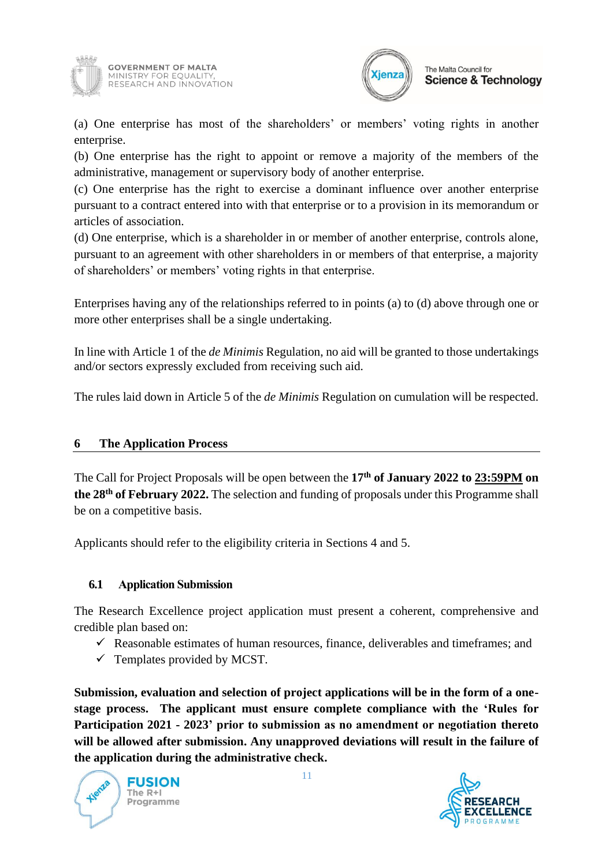

**GOVERNMENT OF MALTA** MINISTRY FOR EQUALITY,<br>RESEARCH AND INNOVATION



(a) One enterprise has most of the shareholders' or members' voting rights in another enterprise.

(b) One enterprise has the right to appoint or remove a majority of the members of the administrative, management or supervisory body of another enterprise.

(c) One enterprise has the right to exercise a dominant influence over another enterprise pursuant to a contract entered into with that enterprise or to a provision in its memorandum or articles of association.

(d) One enterprise, which is a shareholder in or member of another enterprise, controls alone, pursuant to an agreement with other shareholders in or members of that enterprise, a majority of shareholders' or members' voting rights in that enterprise.

Enterprises having any of the relationships referred to in points (a) to (d) above through one or more other enterprises shall be a single undertaking.

In line with Article 1 of the *de Minimis* Regulation, no aid will be granted to those undertakings and/or sectors expressly excluded from receiving such aid.

The rules laid down in Article 5 of the *de Minimis* Regulation on cumulation will be respected.

#### <span id="page-10-0"></span>**6 The Application Process**

The Call for Project Proposals will be open between the **17th of January 2022 to 23:59PM on the 28th of February 2022.** The selection and funding of proposals under this Programme shall be on a competitive basis.

<span id="page-10-1"></span>Applicants should refer to the eligibility criteria in Sections 4 and 5.

### **6.1 Application Submission**

The Research Excellence project application must present a coherent, comprehensive and credible plan based on:

- $\checkmark$  Reasonable estimates of human resources, finance, deliverables and timeframes; and
- $\checkmark$  Templates provided by MCST.

**Submission, evaluation and selection of project applications will be in the form of a onestage process. The applicant must ensure complete compliance with the 'Rules for Participation 2021 - 2023' prior to submission as no amendment or negotiation thereto will be allowed after submission. Any unapproved deviations will result in the failure of the application during the administrative check.**



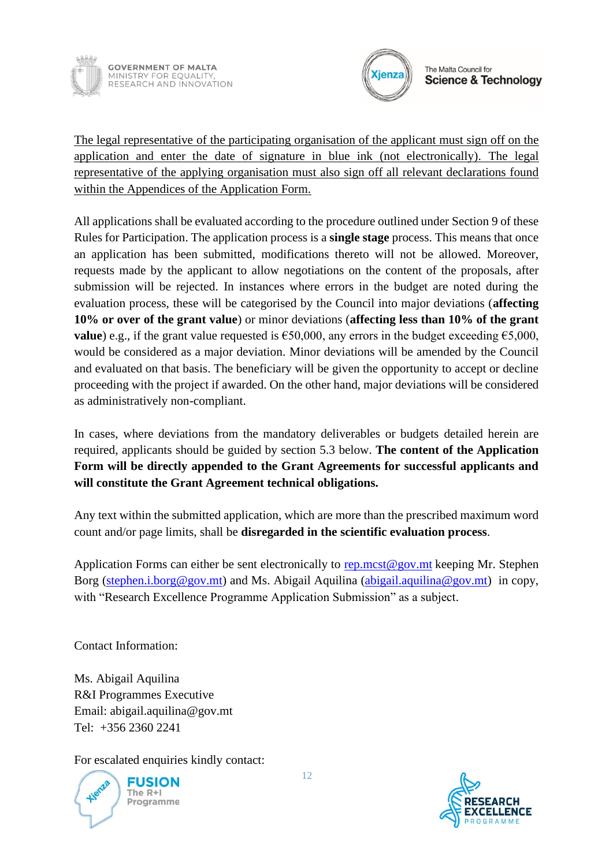



The legal representative of the participating organisation of the applicant must sign off on the application and enter the date of signature in blue ink (not electronically). The legal representative of the applying organisation must also sign off all relevant declarations found within the Appendices of the Application Form.

All applications shall be evaluated according to the procedure outlined under Section 9 of these Rules for Participation. The application process is a **single stage** process. This means that once an application has been submitted, modifications thereto will not be allowed. Moreover, requests made by the applicant to allow negotiations on the content of the proposals, after submission will be rejected. In instances where errors in the budget are noted during the evaluation process, these will be categorised by the Council into major deviations (**affecting 10% or over of the grant value**) or minor deviations (**affecting less than 10% of the grant value**) e.g., if the grant value requested is  $\epsilon$ 50,000, any errors in the budget exceeding  $\epsilon$ 5,000, would be considered as a major deviation. Minor deviations will be amended by the Council and evaluated on that basis. The beneficiary will be given the opportunity to accept or decline proceeding with the project if awarded. On the other hand, major deviations will be considered as administratively non-compliant.

In cases, where deviations from the mandatory deliverables or budgets detailed herein are required, applicants should be guided by section 5.3 below. **The content of the Application Form will be directly appended to the Grant Agreements for successful applicants and will constitute the Grant Agreement technical obligations.** 

Any text within the submitted application, which are more than the prescribed maximum word count and/or page limits, shall be **disregarded in the scientific evaluation process**.

Application Forms can either be sent electronically to [rep.mcst@gov.mt](mailto:rep.mcst@gov.mt) keeping Mr. Stephen Borg [\(stephen.i.borg@gov.mt\)](mailto:stephen.i.borg@gov.mt) and Ms. Abigail Aquilina [\(abigail.aquilina@gov.mt\)](mailto:claudine.dimech@gov.mt) in copy, with "Research Excellence Programme Application Submission" as a subject.

Contact Information:

Ms. Abigail Aquilina R&I Programmes Executive Email: abigail.aquilina@gov.mt Tel: +356 2360 2241

For escalated enquiries kindly contact:



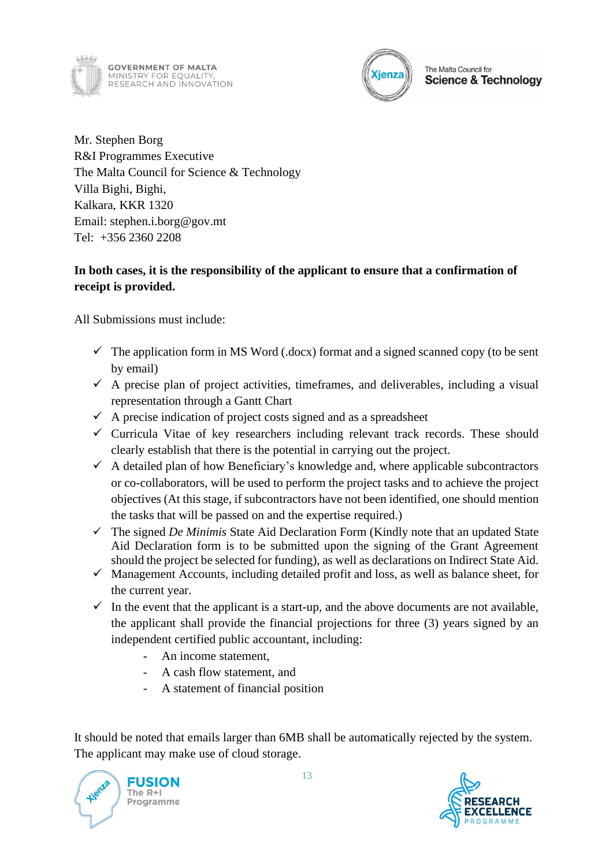



Mr. Stephen Borg R&I Programmes Executive The Malta Council for Science & Technology Villa Bighi, Bighi, Kalkara, KKR 1320 Email: stephen.i.borg@gov.mt Tel: +356 2360 2208

### **In both cases, it is the responsibility of the applicant to ensure that a confirmation of receipt is provided.**

All Submissions must include:

- $\checkmark$  The application form in MS Word (.docx) format and a signed scanned copy (to be sent by email)
- $\checkmark$  A precise plan of project activities, timeframes, and deliverables, including a visual representation through a Gantt Chart
- $\checkmark$  A precise indication of project costs signed and as a spreadsheet
- $\checkmark$  Curricula Vitae of key researchers including relevant track records. These should clearly establish that there is the potential in carrying out the project.
- $\checkmark$  A detailed plan of how Beneficiary's knowledge and, where applicable subcontractors or co-collaborators, will be used to perform the project tasks and to achieve the project objectives (At this stage, if subcontractors have not been identified, one should mention the tasks that will be passed on and the expertise required.)
- ✓ The signed *De Minimis* State Aid Declaration Form (Kindly note that an updated State Aid Declaration form is to be submitted upon the signing of the Grant Agreement should the project be selected for funding), as well as declarations on Indirect State Aid.
- $\checkmark$  Management Accounts, including detailed profit and loss, as well as balance sheet, for the current year.
- $\checkmark$  In the event that the applicant is a start-up, and the above documents are not available, the applicant shall provide the financial projections for three (3) years signed by an independent certified public accountant, including:
	- An income statement,
	- A cash flow statement, and
	- A statement of financial position

It should be noted that emails larger than 6MB shall be automatically rejected by the system. The applicant may make use of cloud storage.

**FUSION** The  $R + I$ Programme

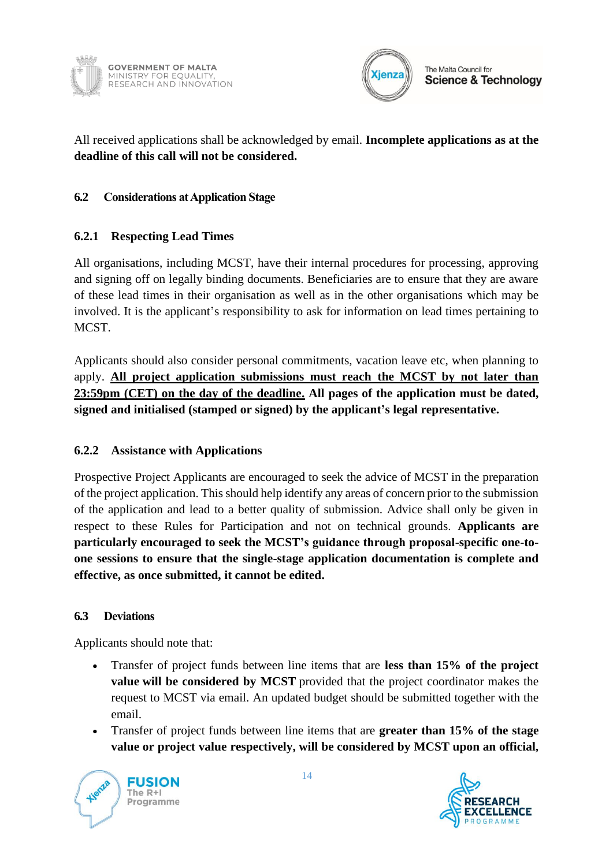



All received applications shall be acknowledged by email. **Incomplete applications as at the deadline of this call will not be considered.** 

### <span id="page-13-0"></span>**6.2 Considerations at Application Stage**

### <span id="page-13-1"></span>**6.2.1 Respecting Lead Times**

All organisations, including MCST, have their internal procedures for processing, approving and signing off on legally binding documents. Beneficiaries are to ensure that they are aware of these lead times in their organisation as well as in the other organisations which may be involved. It is the applicant's responsibility to ask for information on lead times pertaining to MCST.

Applicants should also consider personal commitments, vacation leave etc, when planning to apply. **All project application submissions must reach the MCST by not later than 23:59pm (CET) on the day of the deadline. All pages of the application must be dated, signed and initialised (stamped or signed) by the applicant's legal representative.**

### <span id="page-13-2"></span>**6.2.2 Assistance with Applications**

Prospective Project Applicants are encouraged to seek the advice of MCST in the preparation of the project application. This should help identify any areas of concern prior to the submission of the application and lead to a better quality of submission. Advice shall only be given in respect to these Rules for Participation and not on technical grounds. **Applicants are particularly encouraged to seek the MCST's guidance through proposal-specific one-toone sessions to ensure that the single-stage application documentation is complete and effective, as once submitted, it cannot be edited.**

#### <span id="page-13-3"></span>**6.3 Deviations**

Applicants should note that:

- Transfer of project funds between line items that are **less than 15% of the project value will be considered by MCST** provided that the project coordinator makes the request to MCST via email. An updated budget should be submitted together with the email.
- Transfer of project funds between line items that are **greater than 15% of the stage value or project value respectively, will be considered by MCST upon an official,**



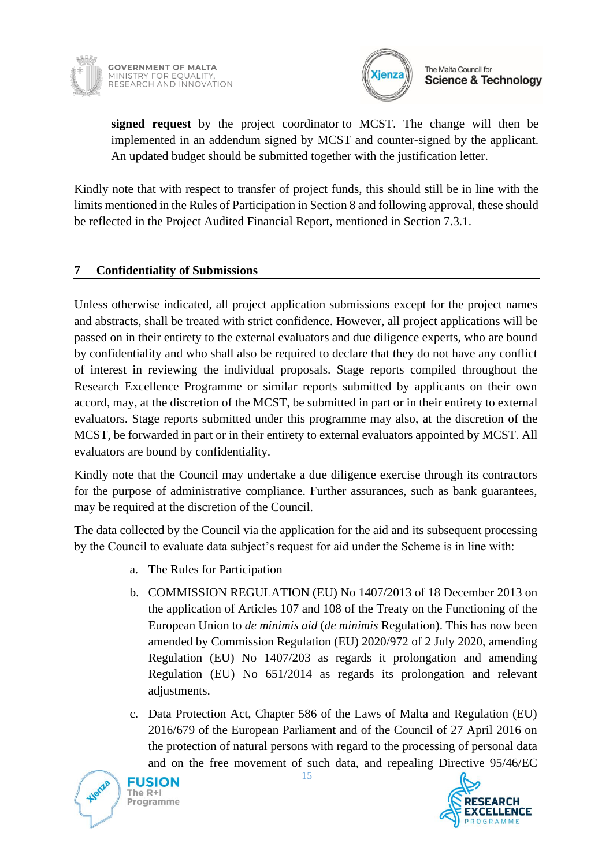



The Malta Council for **Science & Technology** 

**signed request** by the project coordinator to MCST. The change will then be implemented in an addendum signed by MCST and counter-signed by the applicant. An updated budget should be submitted together with the justification letter.

Kindly note that with respect to transfer of project funds, this should still be in line with the limits mentioned in the Rules of Participation in Section 8 and following approval, these should be reflected in the Project Audited Financial Report, mentioned in Section 7.3.1.

### <span id="page-14-0"></span>**7 Confidentiality of Submissions**

Unless otherwise indicated, all project application submissions except for the project names and abstracts, shall be treated with strict confidence. However, all project applications will be passed on in their entirety to the external evaluators and due diligence experts, who are bound by confidentiality and who shall also be required to declare that they do not have any conflict of interest in reviewing the individual proposals. Stage reports compiled throughout the Research Excellence Programme or similar reports submitted by applicants on their own accord, may, at the discretion of the MCST, be submitted in part or in their entirety to external evaluators. Stage reports submitted under this programme may also, at the discretion of the MCST, be forwarded in part or in their entirety to external evaluators appointed by MCST. All evaluators are bound by confidentiality.

Kindly note that the Council may undertake a due diligence exercise through its contractors for the purpose of administrative compliance. Further assurances, such as bank guarantees, may be required at the discretion of the Council.

The data collected by the Council via the application for the aid and its subsequent processing by the Council to evaluate data subject's request for aid under the Scheme is in line with:

- a. The Rules for Participation
- b. COMMISSION REGULATION (EU) No 1407/2013 of 18 December 2013 on the application of Articles 107 and 108 of the Treaty on the Functioning of the European Union to *de minimis aid* (*de minimis* Regulation). This has now been amended by Commission Regulation (EU) 2020/972 of 2 July 2020, amending Regulation (EU) No 1407/203 as regards it prolongation and amending Regulation (EU) No 651/2014 as regards its prolongation and relevant adjustments.
- c. Data Protection Act, Chapter 586 of the Laws of Malta and Regulation (EU) 2016/679 of the European Parliament and of the Council of 27 April 2016 on the protection of natural persons with regard to the processing of personal data and on the free movement of such data, and repealing Directive 95/46/EC



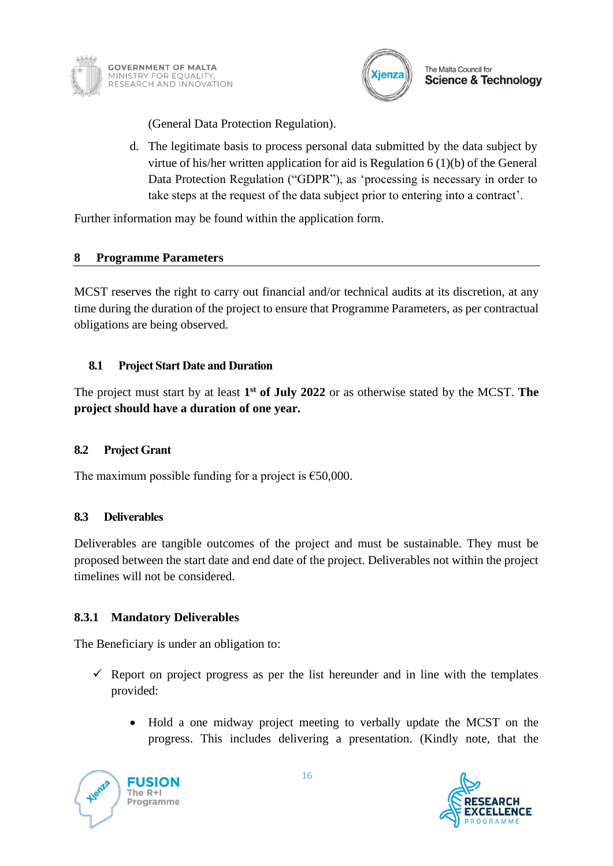



(General Data Protection Regulation).

d. The legitimate basis to process personal data submitted by the data subject by virtue of his/her written application for aid is Regulation 6 (1)(b) of the General Data Protection Regulation ("GDPR"), as 'processing is necessary in order to take steps at the request of the data subject prior to entering into a contract'.

Further information may be found within the application form.

### <span id="page-15-0"></span>**8 Programme Parameters**

MCST reserves the right to carry out financial and/or technical audits at its discretion, at any time during the duration of the project to ensure that Programme Parameters, as per contractual obligations are being observed.

### <span id="page-15-1"></span>**8.1 Project Start Date and Duration**

The project must start by at least **1 st of July 2022** or as otherwise stated by the MCST. **The project should have a duration of one year.**

#### <span id="page-15-2"></span>**8.2 Project Grant**

<span id="page-15-3"></span>The maximum possible funding for a project is  $\epsilon$ 50,000.

#### **8.3 Deliverables**

Deliverables are tangible outcomes of the project and must be sustainable. They must be proposed between the start date and end date of the project. Deliverables not within the project timelines will not be considered.

#### <span id="page-15-4"></span>**8.3.1 Mandatory Deliverables**

The Beneficiary is under an obligation to:

- $\checkmark$  Report on project progress as per the list hereunder and in line with the templates provided:
	- Hold a one midway project meeting to verbally update the MCST on the progress. This includes delivering a presentation. (Kindly note, that the

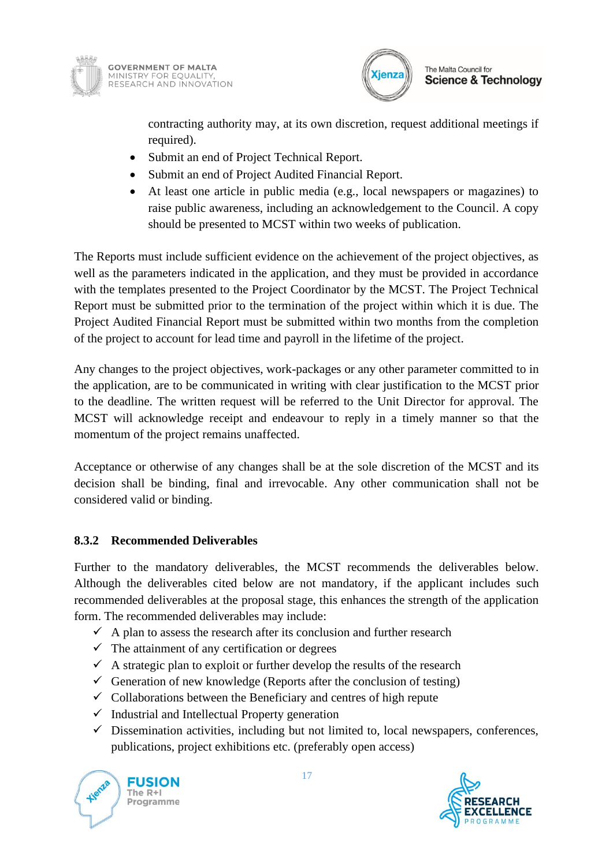



contracting authority may, at its own discretion, request additional meetings if required).

- Submit an end of Project Technical Report.
- Submit an end of Project Audited Financial Report.
- At least one article in public media (e.g., local newspapers or magazines) to raise public awareness, including an acknowledgement to the Council. A copy should be presented to MCST within two weeks of publication.

The Reports must include sufficient evidence on the achievement of the project objectives, as well as the parameters indicated in the application, and they must be provided in accordance with the templates presented to the Project Coordinator by the MCST. The Project Technical Report must be submitted prior to the termination of the project within which it is due. The Project Audited Financial Report must be submitted within two months from the completion of the project to account for lead time and payroll in the lifetime of the project.

Any changes to the project objectives, work-packages or any other parameter committed to in the application, are to be communicated in writing with clear justification to the MCST prior to the deadline. The written request will be referred to the Unit Director for approval. The MCST will acknowledge receipt and endeavour to reply in a timely manner so that the momentum of the project remains unaffected.

Acceptance or otherwise of any changes shall be at the sole discretion of the MCST and its decision shall be binding, final and irrevocable. Any other communication shall not be considered valid or binding.

### <span id="page-16-0"></span>**8.3.2 Recommended Deliverables**

Further to the mandatory deliverables, the MCST recommends the deliverables below. Although the deliverables cited below are not mandatory, if the applicant includes such recommended deliverables at the proposal stage, this enhances the strength of the application form. The recommended deliverables may include:

- $\checkmark$  A plan to assess the research after its conclusion and further research
- $\checkmark$  The attainment of any certification or degrees
- $\checkmark$  A strategic plan to exploit or further develop the results of the research
- $\checkmark$  Generation of new knowledge (Reports after the conclusion of testing)
- $\checkmark$  Collaborations between the Beneficiary and centres of high repute
- $\checkmark$  Industrial and Intellectual Property generation
- $\checkmark$  Dissemination activities, including but not limited to, local newspapers, conferences, publications, project exhibitions etc. (preferably open access)

**FUSION** The  $R + I$ Programme

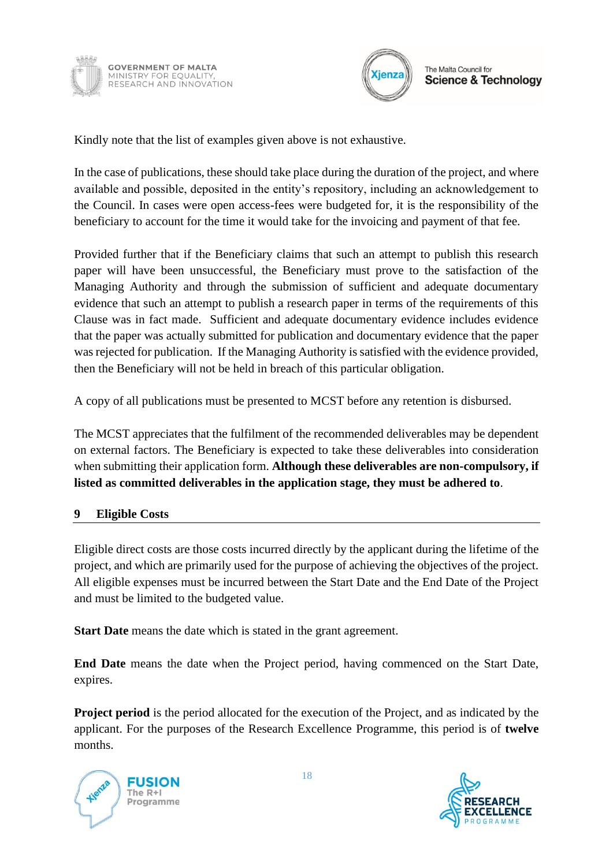



Kindly note that the list of examples given above is not exhaustive.

In the case of publications, these should take place during the duration of the project, and where available and possible, deposited in the entity's repository, including an acknowledgement to the Council. In cases were open access-fees were budgeted for, it is the responsibility of the beneficiary to account for the time it would take for the invoicing and payment of that fee.

Provided further that if the Beneficiary claims that such an attempt to publish this research paper will have been unsuccessful, the Beneficiary must prove to the satisfaction of the Managing Authority and through the submission of sufficient and adequate documentary evidence that such an attempt to publish a research paper in terms of the requirements of this Clause was in fact made. Sufficient and adequate documentary evidence includes evidence that the paper was actually submitted for publication and documentary evidence that the paper was rejected for publication. If the Managing Authority is satisfied with the evidence provided, then the Beneficiary will not be held in breach of this particular obligation.

A copy of all publications must be presented to MCST before any retention is disbursed.

The MCST appreciates that the fulfilment of the recommended deliverables may be dependent on external factors. The Beneficiary is expected to take these deliverables into consideration when submitting their application form. **Although these deliverables are non-compulsory, if listed as committed deliverables in the application stage, they must be adhered to**.

#### <span id="page-17-0"></span>**9 Eligible Costs**

Eligible direct costs are those costs incurred directly by the applicant during the lifetime of the project, and which are primarily used for the purpose of achieving the objectives of the project. All eligible expenses must be incurred between the Start Date and the End Date of the Project and must be limited to the budgeted value.

**Start Date** means the date which is stated in the grant agreement.

**End Date** means the date when the Project period, having commenced on the Start Date, expires.

**Project period** is the period allocated for the execution of the Project, and as indicated by the applicant. For the purposes of the Research Excellence Programme, this period is of **twelve** months.



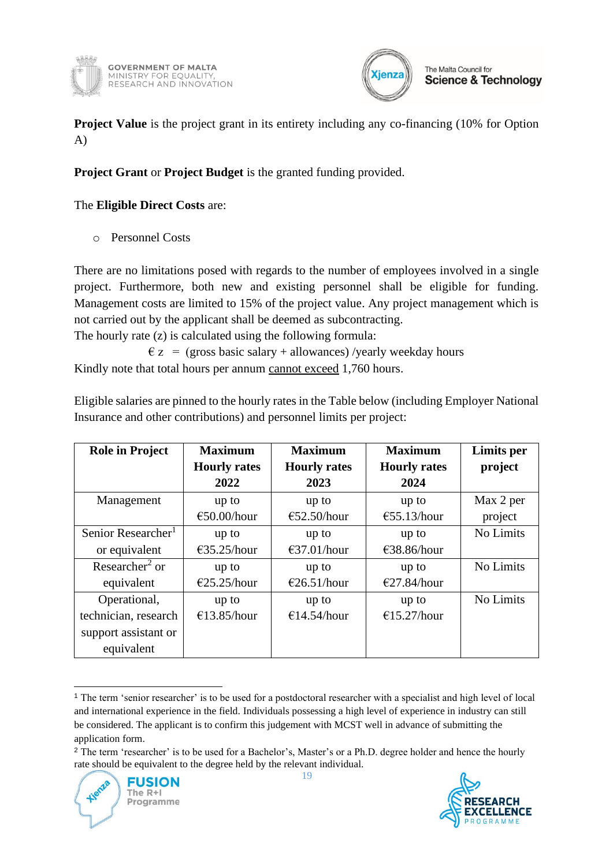



**Project Value** is the project grant in its entirety including any co-financing (10% for Option A)

### **Project Grant** or **Project Budget** is the granted funding provided.

The **Eligible Direct Costs** are:

o Personnel Costs

There are no limitations posed with regards to the number of employees involved in a single project. Furthermore, both new and existing personnel shall be eligible for funding. Management costs are limited to 15% of the project value. Any project management which is not carried out by the applicant shall be deemed as subcontracting.

The hourly rate (z) is calculated using the following formula:

 $\epsilon$  z = (gross basic salary + allowances) /yearly weekday hours Kindly note that total hours per annum cannot exceed 1,760 hours.

Eligible salaries are pinned to the hourly rates in the Table below (including Employer National Insurance and other contributions) and personnel limits per project:

| <b>Role in Project</b>         | <b>Maximum</b>        | <b>Maximum</b>        | <b>Maximum</b>        | Limits per |
|--------------------------------|-----------------------|-----------------------|-----------------------|------------|
|                                | <b>Hourly rates</b>   | <b>Hourly rates</b>   | <b>Hourly rates</b>   | project    |
|                                | 2022                  | 2023                  | 2024                  |            |
| Management                     | up to                 | up to                 | up to                 | Max 2 per  |
|                                | $€50.00/h$ our        | €52.50/hour           | €55.13/hour           | project    |
| Senior Researcher <sup>1</sup> | up to                 | up to                 | up to                 | No Limits  |
| or equivalent                  | $\epsilon$ 35.25/hour | $\epsilon$ 37.01/hour | $\epsilon$ 38.86/hour |            |
| Researcher <sup>2</sup> or     | up to                 | up to                 | up to                 | No Limits  |
| equivalent                     | $\epsilon$ 25.25/hour | $\epsilon$ 26.51/hour | E27.84/hour           |            |
| Operational,                   | up to                 | up to                 | up to                 | No Limits  |
| technician, research           | €13.85/hour           | €14.54/hour           | €15.27/hour           |            |
| support assistant or           |                       |                       |                       |            |
| equivalent                     |                       |                       |                       |            |

<sup>1</sup> The term 'senior researcher' is to be used for a postdoctoral researcher with a specialist and high level of local and international experience in the field. Individuals possessing a high level of experience in industry can still be considered. The applicant is to confirm this judgement with MCST well in advance of submitting the application form.

19



<sup>2</sup> The term 'researcher' is to be used for a Bachelor's, Master's or a Ph.D. degree holder and hence the hourly rate should be equivalent to the degree held by the relevant individual.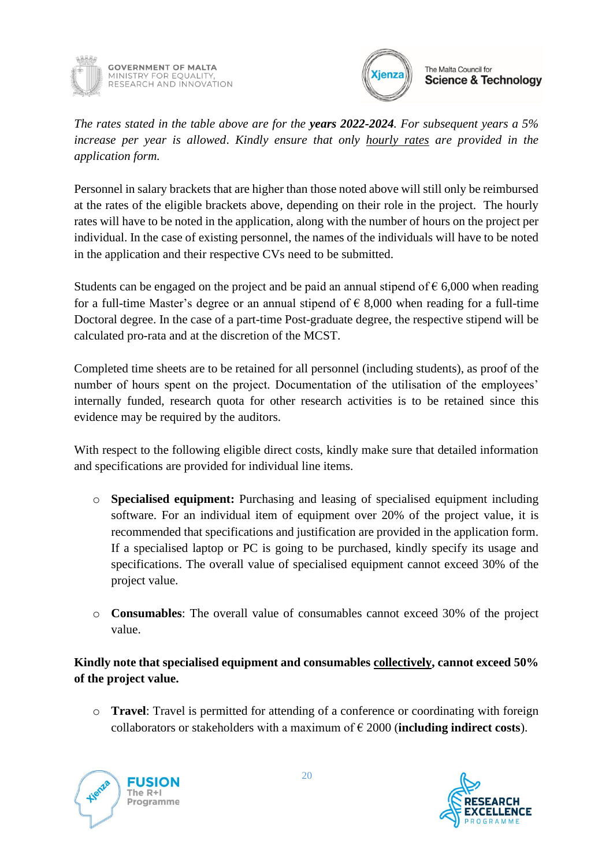



*The rates stated in the table above are for the years 2022-2024. For subsequent years a 5% increase per year is allowed*. *Kindly ensure that only hourly rates are provided in the application form.*

Personnel in salary brackets that are higher than those noted above will still only be reimbursed at the rates of the eligible brackets above, depending on their role in the project. The hourly rates will have to be noted in the application, along with the number of hours on the project per individual. In the case of existing personnel, the names of the individuals will have to be noted in the application and their respective CVs need to be submitted.

Students can be engaged on the project and be paid an annual stipend of  $\epsilon$  6,000 when reading for a full-time Master's degree or an annual stipend of  $\epsilon$  8,000 when reading for a full-time Doctoral degree. In the case of a part-time Post-graduate degree, the respective stipend will be calculated pro-rata and at the discretion of the MCST.

Completed time sheets are to be retained for all personnel (including students), as proof of the number of hours spent on the project. Documentation of the utilisation of the employees' internally funded, research quota for other research activities is to be retained since this evidence may be required by the auditors.

With respect to the following eligible direct costs, kindly make sure that detailed information and specifications are provided for individual line items.

- o **Specialised equipment:** Purchasing and leasing of specialised equipment including software. For an individual item of equipment over 20% of the project value, it is recommended that specifications and justification are provided in the application form. If a specialised laptop or PC is going to be purchased, kindly specify its usage and specifications. The overall value of specialised equipment cannot exceed 30% of the project value.
- o **Consumables**: The overall value of consumables cannot exceed 30% of the project value.

### **Kindly note that specialised equipment and consumables collectively, cannot exceed 50% of the project value.**

o **Travel**: Travel is permitted for attending of a conference or coordinating with foreign collaborators or stakeholders with a maximum of € 2000 (**including indirect costs**).



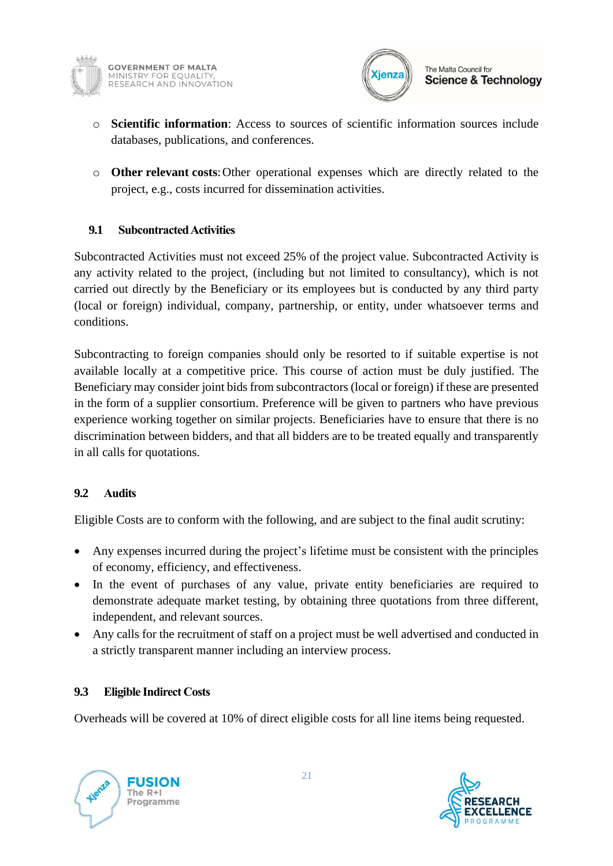



The Malta Council for **Science & Technology** 

- o **Scientific information**: Access to sources of scientific information sources include databases, publications, and conferences.
- o **Other relevant costs**:Other operational expenses which are directly related to the project, e.g., costs incurred for dissemination activities.

### <span id="page-20-0"></span>**9.1 Subcontracted Activities**

Subcontracted Activities must not exceed 25% of the project value. Subcontracted Activity is any activity related to the project, (including but not limited to consultancy), which is not carried out directly by the Beneficiary or its employees but is conducted by any third party (local or foreign) individual, company, partnership, or entity, under whatsoever terms and conditions.

Subcontracting to foreign companies should only be resorted to if suitable expertise is not available locally at a competitive price. This course of action must be duly justified. The Beneficiary may consider joint bids from subcontractors (local or foreign) if these are presented in the form of a supplier consortium. Preference will be given to partners who have previous experience working together on similar projects. Beneficiaries have to ensure that there is no discrimination between bidders, and that all bidders are to be treated equally and transparently in all calls for quotations.

### <span id="page-20-1"></span>**9.2 Audits**

Eligible Costs are to conform with the following, and are subject to the final audit scrutiny:

- Any expenses incurred during the project's lifetime must be consistent with the principles of economy, efficiency, and effectiveness.
- In the event of purchases of any value, private entity beneficiaries are required to demonstrate adequate market testing, by obtaining three quotations from three different, independent, and relevant sources.
- Any calls for the recruitment of staff on a project must be well advertised and conducted in a strictly transparent manner including an interview process.

### <span id="page-20-2"></span>**9.3 Eligible Indirect Costs**

Overheads will be covered at 10% of direct eligible costs for all line items being requested.

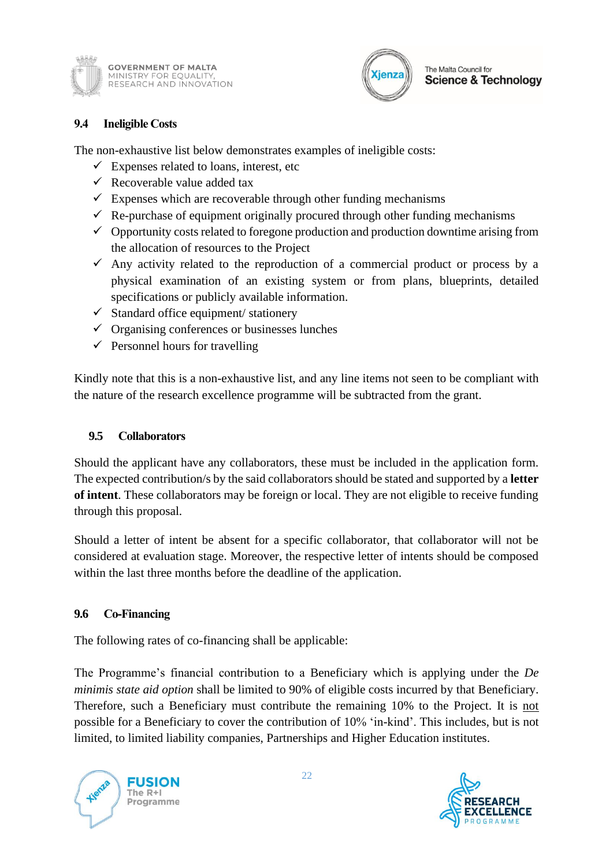



#### <span id="page-21-0"></span>**9.4 Ineligible Costs**

The non-exhaustive list below demonstrates examples of ineligible costs:

- $\checkmark$  Expenses related to loans, interest, etc
- $\checkmark$  Recoverable value added tax
- $\checkmark$  Expenses which are recoverable through other funding mechanisms
- $\checkmark$  Re-purchase of equipment originally procured through other funding mechanisms
- $\checkmark$  Opportunity costs related to foregone production and production downtime arising from the allocation of resources to the Project
- $\checkmark$  Any activity related to the reproduction of a commercial product or process by a physical examination of an existing system or from plans, blueprints, detailed specifications or publicly available information.
- $\checkmark$  Standard office equipment/ stationery
- $\checkmark$  Organising conferences or businesses lunches
- $\checkmark$  Personnel hours for travelling

Kindly note that this is a non-exhaustive list, and any line items not seen to be compliant with the nature of the research excellence programme will be subtracted from the grant.

### <span id="page-21-1"></span>**9.5 Collaborators**

Should the applicant have any collaborators, these must be included in the application form. The expected contribution/s by the said collaborators should be stated and supported by a **letter of intent**. These collaborators may be foreign or local. They are not eligible to receive funding through this proposal.

Should a letter of intent be absent for a specific collaborator, that collaborator will not be considered at evaluation stage. Moreover, the respective letter of intents should be composed within the last three months before the deadline of the application.

#### <span id="page-21-2"></span>**9.6 Co-Financing**

The following rates of co-financing shall be applicable:

The Programme's financial contribution to a Beneficiary which is applying under the *De minimis state aid option* shall be limited to 90% of eligible costs incurred by that Beneficiary. Therefore, such a Beneficiary must contribute the remaining 10% to the Project. It is not possible for a Beneficiary to cover the contribution of 10% 'in-kind'. This includes, but is not limited, to limited liability companies, Partnerships and Higher Education institutes.



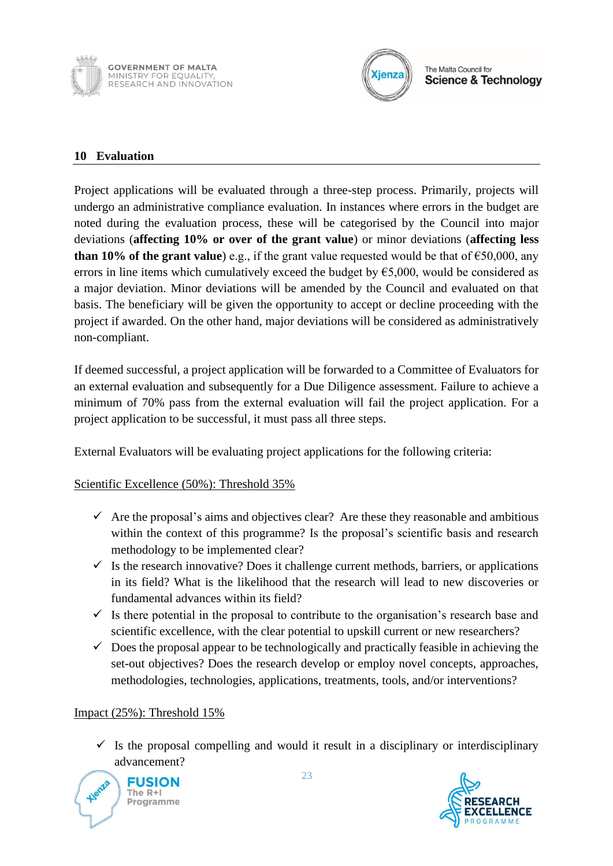



#### <span id="page-22-0"></span>**10 Evaluation**

Project applications will be evaluated through a three-step process. Primarily, projects will undergo an administrative compliance evaluation. In instances where errors in the budget are noted during the evaluation process, these will be categorised by the Council into major deviations (**affecting 10% or over of the grant value**) or minor deviations (**affecting less than 10% of the grant value**) e.g., if the grant value requested would be that of  $\epsilon$ 50,000, any errors in line items which cumulatively exceed the budget by  $\epsilon$ 5,000, would be considered as a major deviation. Minor deviations will be amended by the Council and evaluated on that basis. The beneficiary will be given the opportunity to accept or decline proceeding with the project if awarded. On the other hand, major deviations will be considered as administratively non-compliant.

If deemed successful, a project application will be forwarded to a Committee of Evaluators for an external evaluation and subsequently for a Due Diligence assessment. Failure to achieve a minimum of 70% pass from the external evaluation will fail the project application. For a project application to be successful, it must pass all three steps.

External Evaluators will be evaluating project applications for the following criteria:

Scientific Excellence (50%): Threshold 35%

- $\checkmark$  Are the proposal's aims and objectives clear? Are these they reasonable and ambitious within the context of this programme? Is the proposal's scientific basis and research methodology to be implemented clear?
- $\checkmark$  Is the research innovative? Does it challenge current methods, barriers, or applications in its field? What is the likelihood that the research will lead to new discoveries or fundamental advances within its field?
- $\checkmark$  Is there potential in the proposal to contribute to the organisation's research base and scientific excellence, with the clear potential to upskill current or new researchers?
- $\checkmark$  Does the proposal appear to be technologically and practically feasible in achieving the set-out objectives? Does the research develop or employ novel concepts, approaches, methodologies, technologies, applications, treatments, tools, and/or interventions?

#### Impact (25%): Threshold 15%

 $\checkmark$  Is the proposal compelling and would it result in a disciplinary or interdisciplinary advancement?



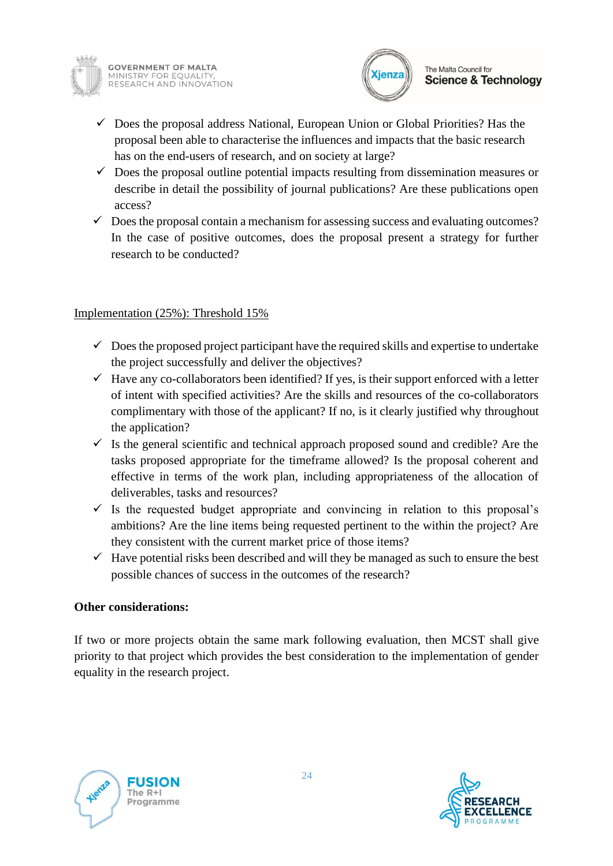



- $\checkmark$  Does the proposal address National, European Union or Global Priorities? Has the proposal been able to characterise the influences and impacts that the basic research has on the end-users of research, and on society at large?
- $\checkmark$  Does the proposal outline potential impacts resulting from dissemination measures or describe in detail the possibility of journal publications? Are these publications open access?
- $\checkmark$  Does the proposal contain a mechanism for assessing success and evaluating outcomes? In the case of positive outcomes, does the proposal present a strategy for further research to be conducted?

### Implementation (25%): Threshold 15%

- $\checkmark$  Does the proposed project participant have the required skills and expertise to undertake the project successfully and deliver the objectives?
- $\checkmark$  Have any co-collaborators been identified? If yes, is their support enforced with a letter of intent with specified activities? Are the skills and resources of the co-collaborators complimentary with those of the applicant? If no, is it clearly justified why throughout the application?
- $\checkmark$  Is the general scientific and technical approach proposed sound and credible? Are the tasks proposed appropriate for the timeframe allowed? Is the proposal coherent and effective in terms of the work plan, including appropriateness of the allocation of deliverables, tasks and resources?
- $\checkmark$  Is the requested budget appropriate and convincing in relation to this proposal's ambitions? Are the line items being requested pertinent to the within the project? Are they consistent with the current market price of those items?
- $\checkmark$  Have potential risks been described and will they be managed as such to ensure the best possible chances of success in the outcomes of the research?

#### **Other considerations:**

If two or more projects obtain the same mark following evaluation, then MCST shall give priority to that project which provides the best consideration to the implementation of gender equality in the research project.



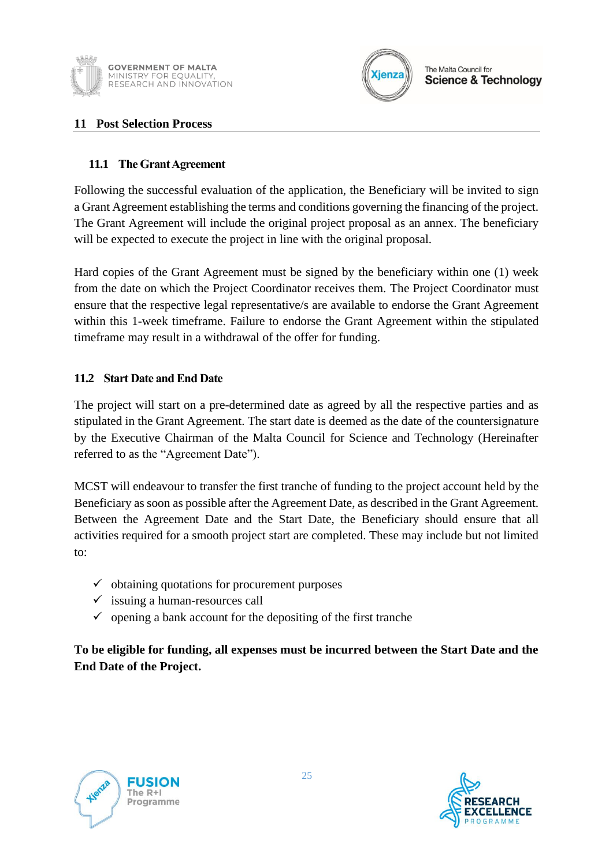



#### <span id="page-24-0"></span>**11 Post Selection Process**

#### <span id="page-24-1"></span>**11.1 The Grant Agreement**

Following the successful evaluation of the application, the Beneficiary will be invited to sign a Grant Agreement establishing the terms and conditions governing the financing of the project. The Grant Agreement will include the original project proposal as an annex. The beneficiary will be expected to execute the project in line with the original proposal.

Hard copies of the Grant Agreement must be signed by the beneficiary within one (1) week from the date on which the Project Coordinator receives them. The Project Coordinator must ensure that the respective legal representative/s are available to endorse the Grant Agreement within this 1-week timeframe. Failure to endorse the Grant Agreement within the stipulated timeframe may result in a withdrawal of the offer for funding.

#### <span id="page-24-2"></span>**11.2 Start Date and End Date**

The project will start on a pre-determined date as agreed by all the respective parties and as stipulated in the Grant Agreement. The start date is deemed as the date of the countersignature by the Executive Chairman of the Malta Council for Science and Technology (Hereinafter referred to as the "Agreement Date").

MCST will endeavour to transfer the first tranche of funding to the project account held by the Beneficiary as soon as possible after the Agreement Date, as described in the Grant Agreement. Between the Agreement Date and the Start Date, the Beneficiary should ensure that all activities required for a smooth project start are completed. These may include but not limited to:

- $\checkmark$  obtaining quotations for procurement purposes
- $\checkmark$  issuing a human-resources call
- $\checkmark$  opening a bank account for the depositing of the first tranches

**To be eligible for funding, all expenses must be incurred between the Start Date and the End Date of the Project.**



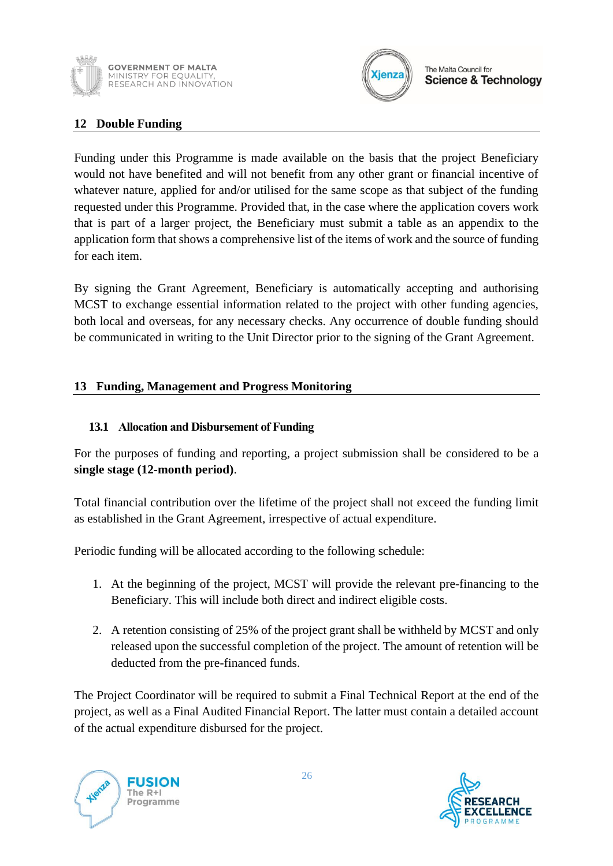



### <span id="page-25-0"></span>**12 Double Funding**

Funding under this Programme is made available on the basis that the project Beneficiary would not have benefited and will not benefit from any other grant or financial incentive of whatever nature, applied for and/or utilised for the same scope as that subject of the funding requested under this Programme. Provided that, in the case where the application covers work that is part of a larger project, the Beneficiary must submit a table as an appendix to the application form that shows a comprehensive list of the items of work and the source of funding for each item.

By signing the Grant Agreement, Beneficiary is automatically accepting and authorising MCST to exchange essential information related to the project with other funding agencies, both local and overseas, for any necessary checks. Any occurrence of double funding should be communicated in writing to the Unit Director prior to the signing of the Grant Agreement.

#### <span id="page-25-1"></span>**13 Funding, Management and Progress Monitoring**

#### <span id="page-25-2"></span>**13.1 Allocation and Disbursement of Funding**

For the purposes of funding and reporting, a project submission shall be considered to be a **single stage (12-month period)**.

Total financial contribution over the lifetime of the project shall not exceed the funding limit as established in the Grant Agreement, irrespective of actual expenditure.

Periodic funding will be allocated according to the following schedule:

- 1. At the beginning of the project, MCST will provide the relevant pre-financing to the Beneficiary. This will include both direct and indirect eligible costs.
- 2. A retention consisting of 25% of the project grant shall be withheld by MCST and only released upon the successful completion of the project. The amount of retention will be deducted from the pre-financed funds.

The Project Coordinator will be required to submit a Final Technical Report at the end of the project, as well as a Final Audited Financial Report. The latter must contain a detailed account of the actual expenditure disbursed for the project.



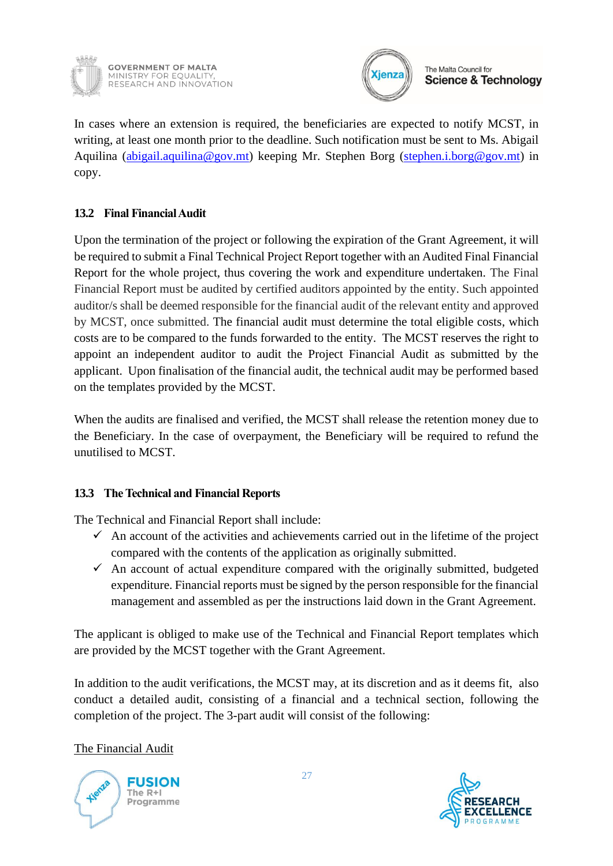

**GOVERNMENT OF MALTA** MINISTRY FOR EQUALITY. RESEARCH AND INNOVATION



The Malta Council for **Science & Technology** 

In cases where an extension is required, the beneficiaries are expected to notify MCST, in writing, at least one month prior to the deadline. Such notification must be sent to Ms. Abigail Aquilina [\(abigail.aquilina@gov.mt\)](mailto:abigail.aquilina@gov.mt) keeping Mr. Stephen Borg [\(stephen.i.borg@gov.mt\)](mailto:stephen.i.borg@gov.mt) in copy.

### <span id="page-26-0"></span>**13.2 Final Financial Audit**

Upon the termination of the project or following the expiration of the Grant Agreement, it will be required to submit a Final Technical Project Report together with an Audited Final Financial Report for the whole project, thus covering the work and expenditure undertaken. The Final Financial Report must be audited by certified auditors appointed by the entity. Such appointed auditor/s shall be deemed responsible for the financial audit of the relevant entity and approved by MCST, once submitted. The financial audit must determine the total eligible costs, which costs are to be compared to the funds forwarded to the entity. The MCST reserves the right to appoint an independent auditor to audit the Project Financial Audit as submitted by the applicant. Upon finalisation of the financial audit, the technical audit may be performed based on the templates provided by the MCST.

When the audits are finalised and verified, the MCST shall release the retention money due to the Beneficiary. In the case of overpayment, the Beneficiary will be required to refund the unutilised to MCST.

### <span id="page-26-1"></span>**13.3 The Technical and Financial Reports**

The Technical and Financial Report shall include:

- $\checkmark$  An account of the activities and achievements carried out in the lifetime of the project compared with the contents of the application as originally submitted.
- $\checkmark$  An account of actual expenditure compared with the originally submitted, budgeted expenditure. Financial reports must be signed by the person responsible for the financial management and assembled as per the instructions laid down in the Grant Agreement.

The applicant is obliged to make use of the Technical and Financial Report templates which are provided by the MCST together with the Grant Agreement.

In addition to the audit verifications, the MCST may, at its discretion and as it deems fit, also conduct a detailed audit, consisting of a financial and a technical section, following the completion of the project. The 3-part audit will consist of the following:

The Financial Audit



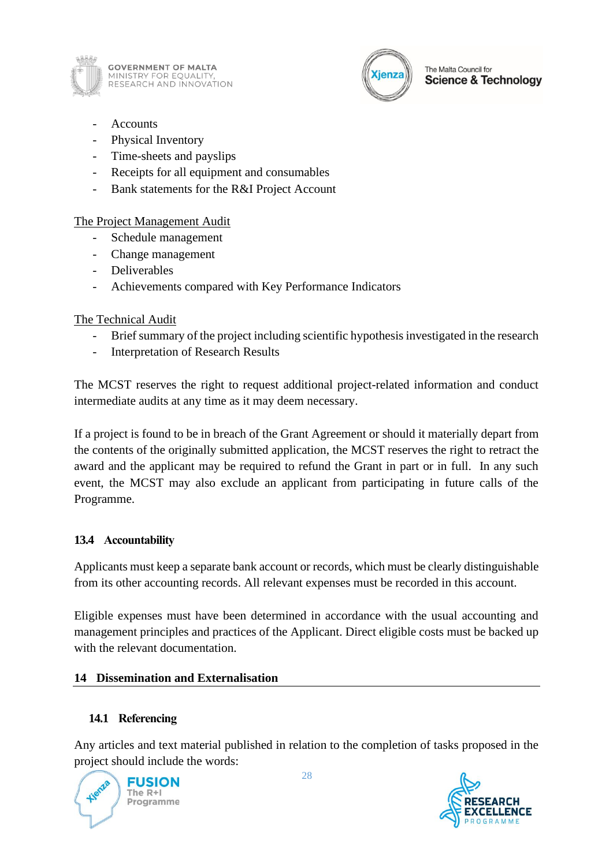

**GOVERNMENT OF MALTA** MINISTRY FOR EQUALITY,<br>RESEARCH AND INNOVATION



- **Accounts**
- Physical Inventory
- Time-sheets and payslips
- Receipts for all equipment and consumables
- Bank statements for the R&I Project Account

The Project Management Audit

- Schedule management
- Change management
- Deliverables
- Achievements compared with Key Performance Indicators

### The Technical Audit

- Brief summary of the project including scientific hypothesis investigated in the research
- Interpretation of Research Results

The MCST reserves the right to request additional project-related information and conduct intermediate audits at any time as it may deem necessary.

If a project is found to be in breach of the Grant Agreement or should it materially depart from the contents of the originally submitted application, the MCST reserves the right to retract the award and the applicant may be required to refund the Grant in part or in full. In any such event, the MCST may also exclude an applicant from participating in future calls of the Programme.

### <span id="page-27-0"></span>**13.4 Accountability**

Applicants must keep a separate bank account or records, which must be clearly distinguishable from its other accounting records. All relevant expenses must be recorded in this account.

Eligible expenses must have been determined in accordance with the usual accounting and management principles and practices of the Applicant. Direct eligible costs must be backed up with the relevant documentation.

### <span id="page-27-1"></span>**14 Dissemination and Externalisation**

## <span id="page-27-2"></span>**14.1 Referencing**

Any articles and text material published in relation to the completion of tasks proposed in the project should include the words:



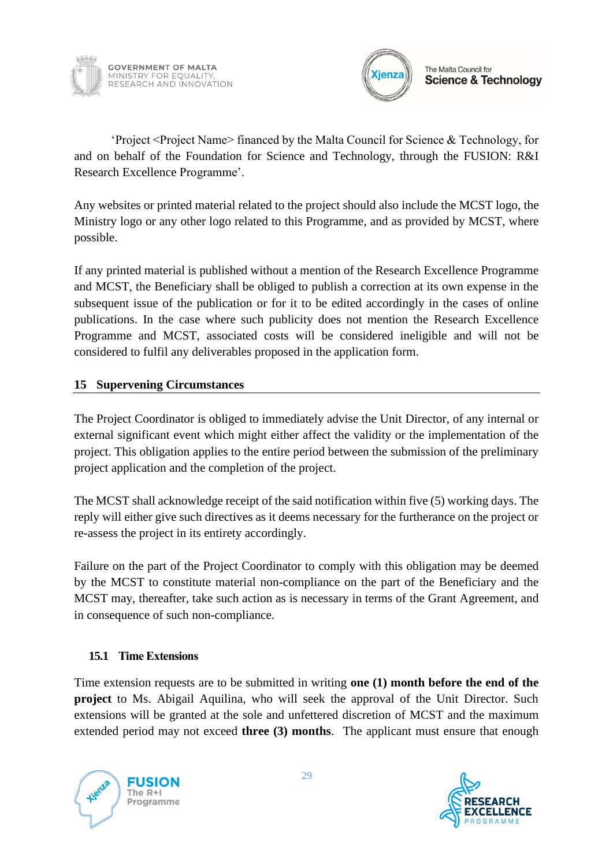



'Project <Project Name> financed by the Malta Council for Science & Technology, for and on behalf of the Foundation for Science and Technology, through the FUSION: R&I Research Excellence Programme'.

Any websites or printed material related to the project should also include the MCST logo, the Ministry logo or any other logo related to this Programme, and as provided by MCST, where possible.

If any printed material is published without a mention of the Research Excellence Programme and MCST, the Beneficiary shall be obliged to publish a correction at its own expense in the subsequent issue of the publication or for it to be edited accordingly in the cases of online publications. In the case where such publicity does not mention the Research Excellence Programme and MCST, associated costs will be considered ineligible and will not be considered to fulfil any deliverables proposed in the application form.

### <span id="page-28-0"></span>**15 Supervening Circumstances**

The Project Coordinator is obliged to immediately advise the Unit Director, of any internal or external significant event which might either affect the validity or the implementation of the project. This obligation applies to the entire period between the submission of the preliminary project application and the completion of the project.

The MCST shall acknowledge receipt of the said notification within five (5) working days. The reply will either give such directives as it deems necessary for the furtherance on the project or re-assess the project in its entirety accordingly.

Failure on the part of the Project Coordinator to comply with this obligation may be deemed by the MCST to constitute material non-compliance on the part of the Beneficiary and the MCST may, thereafter, take such action as is necessary in terms of the Grant Agreement, and in consequence of such non-compliance.

### <span id="page-28-1"></span>**15.1 Time Extensions**

Time extension requests are to be submitted in writing **one (1) month before the end of the project** to Ms. Abigail Aquilina, who will seek the approval of the Unit Director. Such extensions will be granted at the sole and unfettered discretion of MCST and the maximum extended period may not exceed **three (3) months**. The applicant must ensure that enough



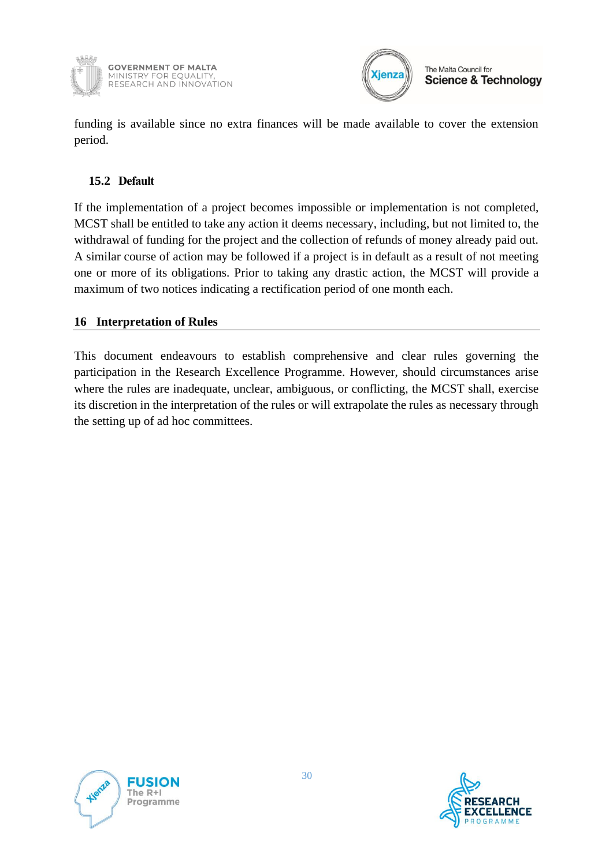



funding is available since no extra finances will be made available to cover the extension period.

### <span id="page-29-0"></span>**15.2 Default**

If the implementation of a project becomes impossible or implementation is not completed, MCST shall be entitled to take any action it deems necessary, including, but not limited to, the withdrawal of funding for the project and the collection of refunds of money already paid out. A similar course of action may be followed if a project is in default as a result of not meeting one or more of its obligations. Prior to taking any drastic action, the MCST will provide a maximum of two notices indicating a rectification period of one month each.

### <span id="page-29-1"></span>**16 Interpretation of Rules**

This document endeavours to establish comprehensive and clear rules governing the participation in the Research Excellence Programme. However, should circumstances arise where the rules are inadequate, unclear, ambiguous, or conflicting, the MCST shall, exercise its discretion in the interpretation of the rules or will extrapolate the rules as necessary through the setting up of ad hoc committees.



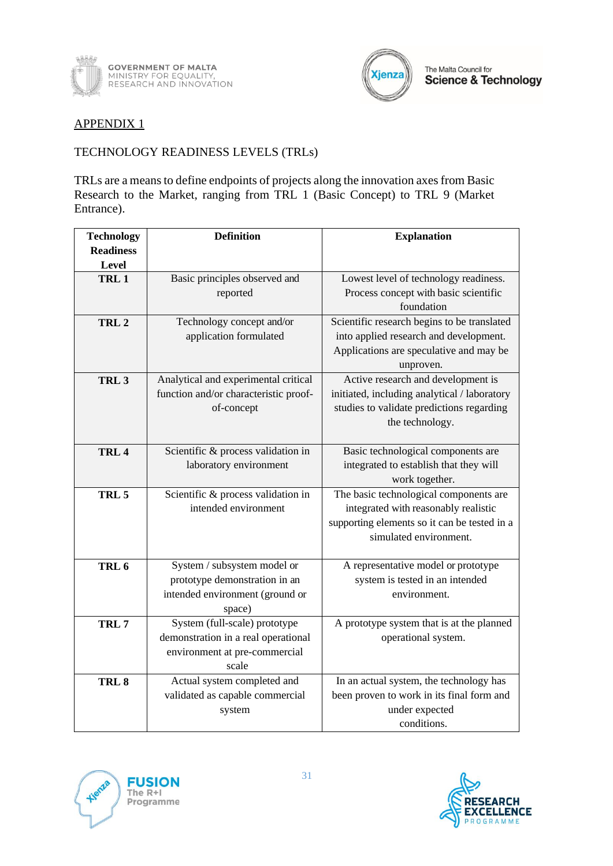



#### APPENDIX 1

#### TECHNOLOGY READINESS LEVELS (TRLs)

TRLs are a means to define endpoints of projects along the innovation axes from Basic Research to the Market, ranging from TRL 1 (Basic Concept) to TRL 9 (Market Entrance).

| <b>Technology</b> | <b>Definition</b>                     | <b>Explanation</b>                           |
|-------------------|---------------------------------------|----------------------------------------------|
| <b>Readiness</b>  |                                       |                                              |
| Level             |                                       |                                              |
| TRL1              | Basic principles observed and         | Lowest level of technology readiness.        |
|                   | reported                              | Process concept with basic scientific        |
|                   |                                       | foundation                                   |
| TRL <sub>2</sub>  | Technology concept and/or             | Scientific research begins to be translated  |
|                   | application formulated                | into applied research and development.       |
|                   |                                       | Applications are speculative and may be      |
|                   |                                       | unproven.                                    |
| TRL <sub>3</sub>  | Analytical and experimental critical  | Active research and development is           |
|                   | function and/or characteristic proof- | initiated, including analytical / laboratory |
|                   | of-concept                            | studies to validate predictions regarding    |
|                   |                                       | the technology.                              |
|                   |                                       |                                              |
| TRL <sub>4</sub>  | Scientific & process validation in    | Basic technological components are           |
|                   | laboratory environment                | integrated to establish that they will       |
|                   |                                       | work together.                               |
| TRL <sub>5</sub>  | Scientific & process validation in    | The basic technological components are       |
|                   | intended environment                  | integrated with reasonably realistic         |
|                   |                                       | supporting elements so it can be tested in a |
|                   |                                       | simulated environment.                       |
|                   |                                       |                                              |
| TRL <sub>6</sub>  | System / subsystem model or           | A representative model or prototype          |
|                   | prototype demonstration in an         | system is tested in an intended              |
|                   | intended environment (ground or       | environment.                                 |
|                   | space)                                |                                              |
| TRL <sub>7</sub>  | System (full-scale) prototype         | A prototype system that is at the planned    |
|                   | demonstration in a real operational   | operational system.                          |
|                   | environment at pre-commercial         |                                              |
|                   | scale                                 |                                              |
| TRL <sub>8</sub>  | Actual system completed and           | In an actual system, the technology has      |
|                   | validated as capable commercial       | been proven to work in its final form and    |
|                   | system                                | under expected                               |
|                   |                                       | conditions.                                  |